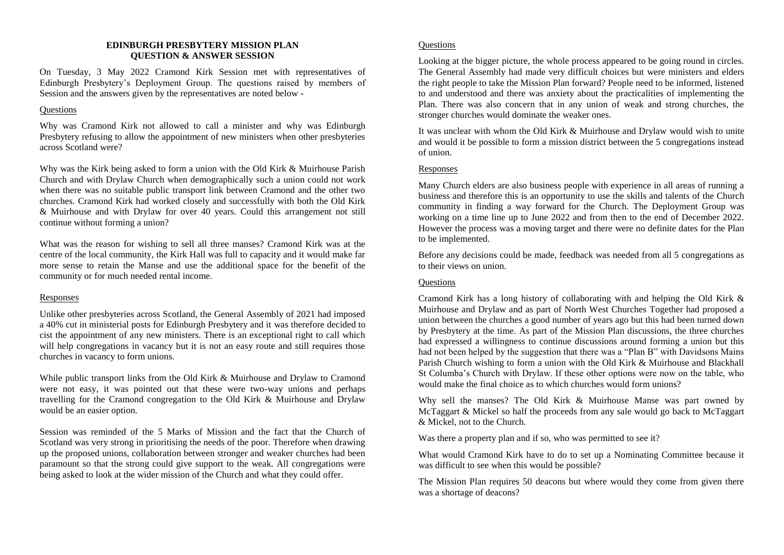## **EDINBURGH PRESBYTERY MISSION PLAN QUESTION & ANSWER SESSION**

On Tuesday, 3 May 2022 Cramond Kirk Session met with representatives of Edinburgh Presbytery's Deployment Group. The questions raised by members of Session and the answers given by the representatives are noted below -

## **Ouestions**

Why was Cramond Kirk not allowed to call a minister and why was Edinburgh Presbytery refusing to allow the appointment of new ministers when other presbyteries across Scotland were?

Why was the Kirk being asked to form a union with the Old Kirk & Muirhouse Parish Church and with Drylaw Church when demographically such a union could not work when there was no suitable public transport link between Cramond and the other two churches. Cramond Kirk had worked closely and successfully with both the Old Kirk & Muirhouse and with Drylaw for over 40 years. Could this arrangement not still continue without forming a union?

What was the reason for wishing to sell all three manses? Cramond Kirk was at the centre of the local community, the Kirk Hall was full to capacity and it would make far more sense to retain the Manse and use the additional space for the benefit of the community or for much needed rental income.

# Responses

Unlike other presbyteries across Scotland, the General Assembly of 2021 had imposed a 40% cut in ministerial posts for Edinburgh Presbytery and it was therefore decided to cist the appointment of any new ministers. There is an exceptional right to call which will help congregations in vacancy but it is not an easy route and still requires those churches in vacancy to form unions.

While public transport links from the Old Kirk & Muirhouse and Drylaw to Cramond were not easy, it was pointed out that these were two-way unions and perhaps travelling for the Cramond congregation to the Old Kirk & Muirhouse and Drylaw would be an easier option.

Session was reminded of the 5 Marks of Mission and the fact that the Church of Scotland was very strong in prioritising the needs of the poor. Therefore when drawing up the proposed unions, collaboration between stronger and weaker churches had been paramount so that the strong could give support to the weak. All congregations were being asked to look at the wider mission of the Church and what they could offer.

# **Ouestions**

Looking at the bigger picture, the whole process appeared to be going round in circles. The General Assembly had made very difficult choices but were ministers and elders the right people to take the Mission Plan forward? People need to be informed, listened to and understood and there was anxiety about the practicalities of implementing the Plan. There was also concern that in any union of weak and strong churches, the stronger churches would dominate the weaker ones.

It was unclear with whom the Old Kirk & Muirhouse and Drylaw would wish to unite and would it be possible to form a mission district between the 5 congregations instead of union.

## Responses

Many Church elders are also business people with experience in all areas of running a business and therefore this is an opportunity to use the skills and talents of the Church community in finding a way forward for the Church. The Deployment Group was working on a time line up to June 2022 and from then to the end of December 2022. However the process was a moving target and there were no definite dates for the Plan to be implemented.

Before any decisions could be made, feedback was needed from all 5 congregations as to their views on union.

# **Questions**

Cramond Kirk has a long history of collaborating with and helping the Old Kirk & Muirhouse and Drylaw and as part of North West Churches Together had proposed a union between the churches a good number of years ago but this had been turned down by Presbytery at the time. As part of the Mission Plan discussions, the three churches had expressed a willingness to continue discussions around forming a union but this had not been helped by the suggestion that there was a "Plan B" with Davidsons Mains Parish Church wishing to form a union with the Old Kirk & Muirhouse and Blackhall St Columba's Church with Drylaw. If these other options were now on the table, who would make the final choice as to which churches would form unions?

Why sell the manses? The Old Kirk & Muirhouse Manse was part owned by McTaggart & Mickel so half the proceeds from any sale would go back to McTaggart & Mickel, not to the Church.

Was there a property plan and if so, who was permitted to see it?

What would Cramond Kirk have to do to set up a Nominating Committee because it was difficult to see when this would be possible?

The Mission Plan requires 50 deacons but where would they come from given there was a shortage of deacons?